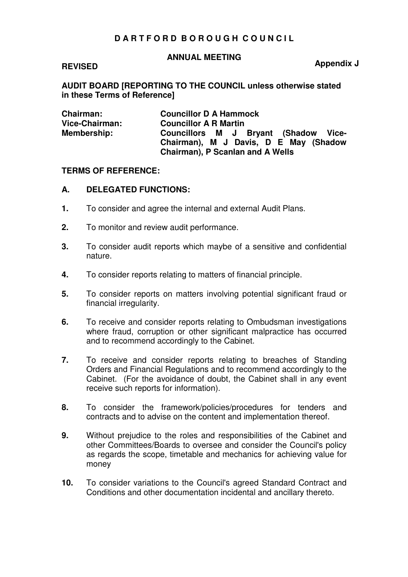## **D A R T F O R D B O R O U G H C O U N C I L**

#### **ANNUAL MEETING**

#### **REVISED**

**Appendix J** 

**AUDIT BOARD [REPORTING TO THE COUNCIL unless otherwise stated in these Terms of Reference]** 

| <b>Chairman:</b> | <b>Councillor D A Hammock</b>                                                                                     |
|------------------|-------------------------------------------------------------------------------------------------------------------|
| Vice-Chairman:   | <b>Councillor A R Martin</b>                                                                                      |
| Membership:      | Councillors M J Bryant (Shadow Vice-<br>Chairman), M J Davis, D E May (Shadow<br>Chairman), P Scanlan and A Wells |

#### **TERMS OF REFERENCE:**

#### **A. DELEGATED FUNCTIONS:**

- **1.** To consider and agree the internal and external Audit Plans.
- **2.** To monitor and review audit performance.
- **3.** To consider audit reports which maybe of a sensitive and confidential nature.
- **4.** To consider reports relating to matters of financial principle.
- **5.** To consider reports on matters involving potential significant fraud or financial irregularity.
- **6.** To receive and consider reports relating to Ombudsman investigations where fraud, corruption or other significant malpractice has occurred and to recommend accordingly to the Cabinet.
- **7.** To receive and consider reports relating to breaches of Standing Orders and Financial Regulations and to recommend accordingly to the Cabinet. (For the avoidance of doubt, the Cabinet shall in any event receive such reports for information).
- **8.** To consider the framework/policies/procedures for tenders and contracts and to advise on the content and implementation thereof.
- **9.** Without prejudice to the roles and responsibilities of the Cabinet and other Committees/Boards to oversee and consider the Council's policy as regards the scope, timetable and mechanics for achieving value for money
- **10.** To consider variations to the Council's agreed Standard Contract and Conditions and other documentation incidental and ancillary thereto.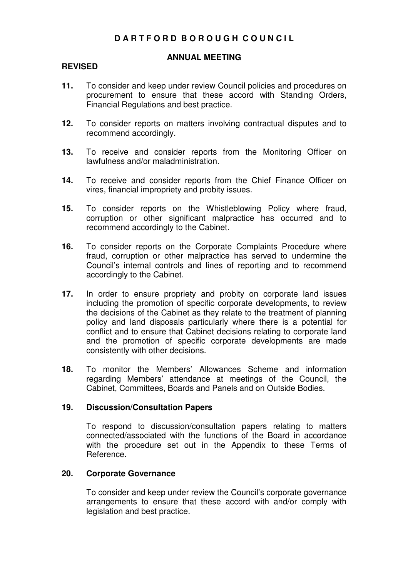# **D A R T F O R D B O R O U G H C O U N C I L**

## **ANNUAL MEETING**

#### **REVISED**

- **11.** To consider and keep under review Council policies and procedures on procurement to ensure that these accord with Standing Orders, Financial Regulations and best practice.
- **12.** To consider reports on matters involving contractual disputes and to recommend accordingly.
- **13.** To receive and consider reports from the Monitoring Officer on lawfulness and/or maladministration.
- **14.** To receive and consider reports from the Chief Finance Officer on vires, financial impropriety and probity issues.
- **15.** To consider reports on the Whistleblowing Policy where fraud, corruption or other significant malpractice has occurred and to recommend accordingly to the Cabinet.
- **16.** To consider reports on the Corporate Complaints Procedure where fraud, corruption or other malpractice has served to undermine the Council's internal controls and lines of reporting and to recommend accordingly to the Cabinet.
- **17.** In order to ensure propriety and probity on corporate land issues including the promotion of specific corporate developments, to review the decisions of the Cabinet as they relate to the treatment of planning policy and land disposals particularly where there is a potential for conflict and to ensure that Cabinet decisions relating to corporate land and the promotion of specific corporate developments are made consistently with other decisions.
- **18.** To monitor the Members' Allowances Scheme and information regarding Members' attendance at meetings of the Council, the Cabinet, Committees, Boards and Panels and on Outside Bodies.

#### **19. Discussion/Consultation Papers**

To respond to discussion/consultation papers relating to matters connected/associated with the functions of the Board in accordance with the procedure set out in the Appendix to these Terms of Reference.

#### **20. Corporate Governance**

 To consider and keep under review the Council's corporate governance arrangements to ensure that these accord with and/or comply with legislation and best practice.